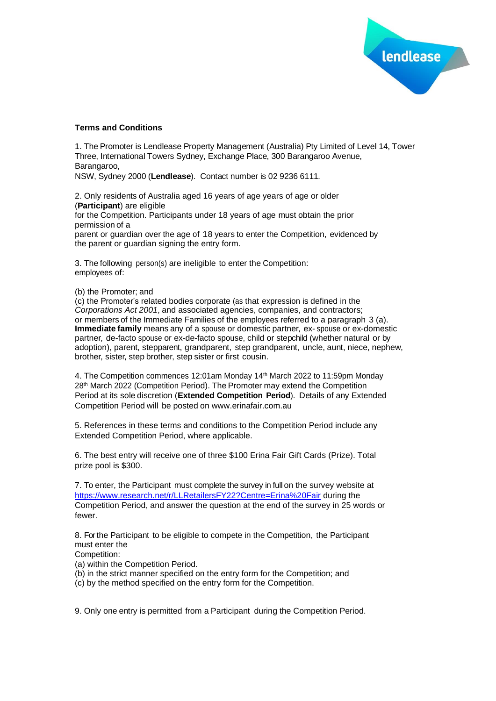

## **Terms and Conditions**

1. The Promoter is Lendlease Property Management (Australia) Pty Limited of Level 14, Tower Three, International Towers Sydney, Exchange Place, 300 Barangaroo Avenue, Barangaroo,

NSW, Sydney 2000 (**Lendlease**). Contact number is 02 9236 6111.

2. Only residents of Australia aged 16 years of age years of age or older (**Participant**) are eligible for the Competition. Participants under 18 years of age must obtain the prior permission of a parent or guardian over the age of 18 years to enter the Competition, evidenced by

the parent or quardian signing the entry form.

3. The following person(s) are ineligible to enter the Competition: employees of:

(b) the Promoter; and

(c) the Promoter's related bodies corporate (as that expression is defined in the *Corporations Act 2001*, and associated agencies, companies, and contractors; or members of the Immediate Families of the employees referred to a paragraph 3 (a). **Immediate family** means any of a spouse or domestic partner, ex- spouse or ex-domestic partner, de-facto spouse or ex-de-facto spouse, child or stepchild (whether natural or by adoption), parent, stepparent, grandparent, step grandparent, uncle, aunt, niece, nephew, brother, sister, step brother, step sister or first cousin.

4. The Competition commences 12:01am Monday 14th March 2022 to 11:59pm Monday 28th March 2022 (Competition Period). The Promoter may extend the Competition Period at its sole discretion (**Extended Competition Period**). Details of any Extended Competition Period will be posted on www.erinafair.com.au

5. References in these terms and conditions to the Competition Period include any Extended Competition Period, where applicable.

6. The best entry will receive one of three \$100 Erina Fair Gift Cards (Prize). Total prize pool is \$300.

7. To enter, the Participant must complete the survey in full on the survey website at [https://www.research.net/r/LLRetailersFY22?Centre=Erina%20Fair](https://nam12.safelinks.protection.outlook.com/?url=https%3A%2F%2Fwww.research.net%2Fr%2FLLRetailersFY22%3FCentre%3DErina%2520Fair&data=04%7C01%7CTarita.Potestas%40lendlease.com%7C6f8a46e417814997f7ee08da017f4419%7Cbc0c325b6efc4ca89e4611b50fe2aab5%7C0%7C0%7C637823943434058492%7CUnknown%7CTWFpbGZsb3d8eyJWIjoiMC4wLjAwMDAiLCJQIjoiV2luMzIiLCJBTiI6Ik1haWwiLCJXVCI6Mn0%3D%7C3000&sdata=SKMd24yJiE%2BhamOrt0CBbYDiu7qwg5UvZz%2FAs5RHt2c%3D&reserved=0) during the Competition Period, and answer the question at the end of the survey in 25 words or fewer.

8. Forthe Participant to be eligible to compete in the Competition, the Participant must enter the

Competition:

- (a) within the Competition Period.
- (b) in the strict manner specified on the entry form for the Competition; and

(c) by the method specified on the entry form for the Competition.

9. Only one entry is permitted from a Participant during the Competition Period.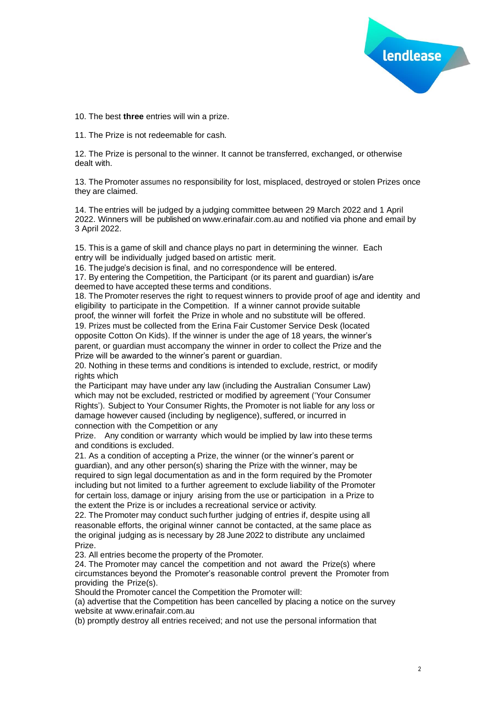

10. The best **three** entries will win a prize.

11. The Prize is not redeemable for cash.

12. The Prize is personal to the winner. It cannot be transferred, exchanged, or otherwise dealt with.

13. The Promoter assumes no responsibility for lost, misplaced, destroyed or stolen Prizes once they are claimed.

14. The entries will be judged by a judging committee between 29 March 2022 and 1 April 2022. Winners will be published on www.erinafair.com.au and notified via phone and email by 3 April 2022.

15. This is a game of skill and chance plays no part in determining the winner. Each entry will be individually judged based on artistic merit.

16. The judge's decision is final, and no correspondence will be entered.

17. By entering the Competition, the Participant (or its parent and guardian) is/are deemed to have accepted these terms and conditions.

18. The Promoter reserves the right to request winners to provide proof of age and identity and eligibility to participate in the Competition. If a winner cannot provide suitable

proof, the winner will forfeit the Prize in whole and no substitute will be offered. 19. Prizes must be collected from the Erina Fair Customer Service Desk (located opposite Cotton On Kids). If the winner is under the age of 18 years, the winner's parent, or guardian must accompany the winner in order to collect the Prize and the Prize will be awarded to the winner's parent or guardian.

20. Nothing in these terms and conditions is intended to exclude, restrict, or modify rights which

the Participant may have under any law (including the Australian Consumer Law) which may not be excluded, restricted or modified by agreement ('Your Consumer Rights'). Subject to Your Consumer Rights, the Promoter is not liable for any loss or damage however caused (including by negligence), suffered, or incurred in connection with the Competition or any

Prize. Any condition or warranty which would be implied by law into these terms and conditions is excluded.

21. As a condition of accepting a Prize, the winner (or the winner's parent or guardian), and any other person(s) sharing the Prize with the winner, may be required to sign legal documentation as and in the form required by the Promoter including but not limited to a further agreement to exclude liability of the Promoter for certain loss, damage or injury arising from the use or participation in a Prize to the extent the Prize is or includes a recreational service or activity.

22. The Promoter may conduct such further judging of entries if, despite using all reasonable efforts, the original winner cannot be contacted, at the same place as the original judging as is necessary by 28 June 2022 to distribute any unclaimed Prize.

23. All entries become the property of the Promoter.

24. The Promoter may cancel the competition and not award the Prize(s) where circumstances beyond the Promoter's reasonable control prevent the Promoter from providing the Prize(s).

Should the Promoter cancel the Competition the Promoter will:

(a) advertise that the Competition has been cancelled by placing a notice on the survey website at www.erinafair.com.au

(b) promptly destroy all entries received; and not use the personal information that